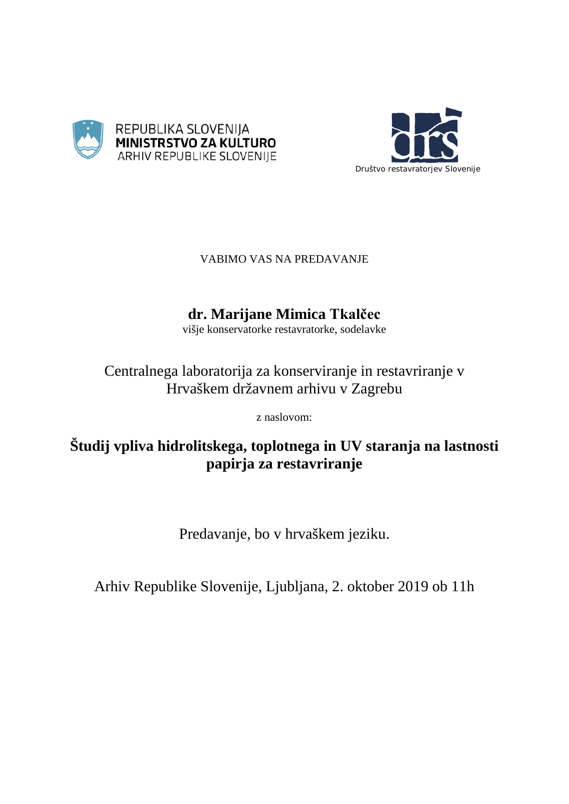



## VABIMO VAS NA PREDAVANJE

# **dr. Marijane Mimica Tkalčec**

višje konservatorke restavratorke, sodelavke

# Centralnega laboratorija za konserviranje in restavriranje v Hrvaškem državnem arhivu v Zagrebu

z naslovom:

# **Študij vpliva hidrolitskega, toplotnega in UV staranja na lastnosti papirja za restavriranje**

Predavanje, bo v hrvaškem jeziku.

Arhiv Republike Slovenije, Ljubljana, 2. oktober 2019 ob 11h